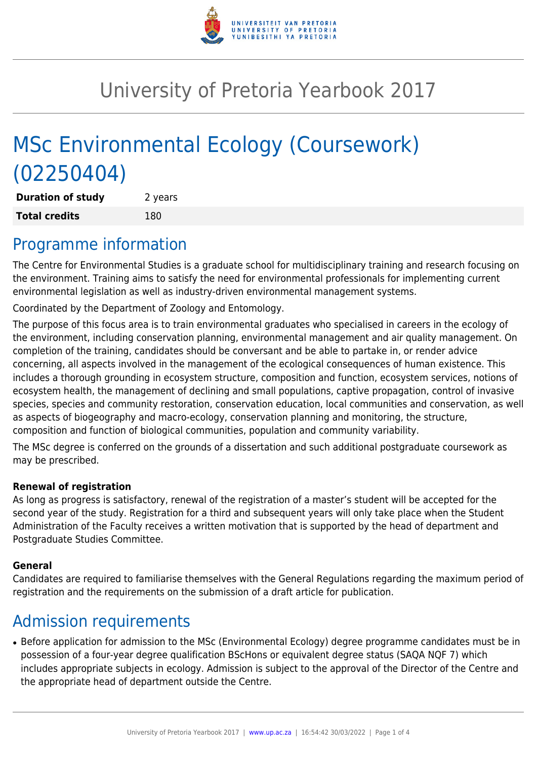

# University of Pretoria Yearbook 2017

# MSc Environmental Ecology (Coursework) (02250404)

**Duration of study** 2 years **Total credits** 180

### Programme information

The Centre for Environmental Studies is a graduate school for multidisciplinary training and research focusing on the environment. Training aims to satisfy the need for environmental professionals for implementing current environmental legislation as well as industry-driven environmental management systems.

Coordinated by the Department of Zoology and Entomology.

The purpose of this focus area is to train environmental graduates who specialised in careers in the ecology of the environment, including conservation planning, environmental management and air quality management. On completion of the training, candidates should be conversant and be able to partake in, or render advice concerning, all aspects involved in the management of the ecological consequences of human existence. This includes a thorough grounding in ecosystem structure, composition and function, ecosystem services, notions of ecosystem health, the management of declining and small populations, captive propagation, control of invasive species, species and community restoration, conservation education, local communities and conservation, as well as aspects of biogeography and macro-ecology, conservation planning and monitoring, the structure, composition and function of biological communities, population and community variability.

The MSc degree is conferred on the grounds of a dissertation and such additional postgraduate coursework as may be prescribed.

#### **Renewal of registration**

As long as progress is satisfactory, renewal of the registration of a master's student will be accepted for the second year of the study. Registration for a third and subsequent years will only take place when the Student Administration of the Faculty receives a written motivation that is supported by the head of department and Postgraduate Studies Committee.

#### **General**

Candidates are required to familiarise themselves with the General Regulations regarding the maximum period of registration and the requirements on the submission of a draft article for publication.

# Admission requirements

• Before application for admission to the MSc (Environmental Ecology) degree programme candidates must be in possession of a four-year degree qualification BScHons or equivalent degree status (SAQA NQF 7) which includes appropriate subjects in ecology. Admission is subject to the approval of the Director of the Centre and the appropriate head of department outside the Centre.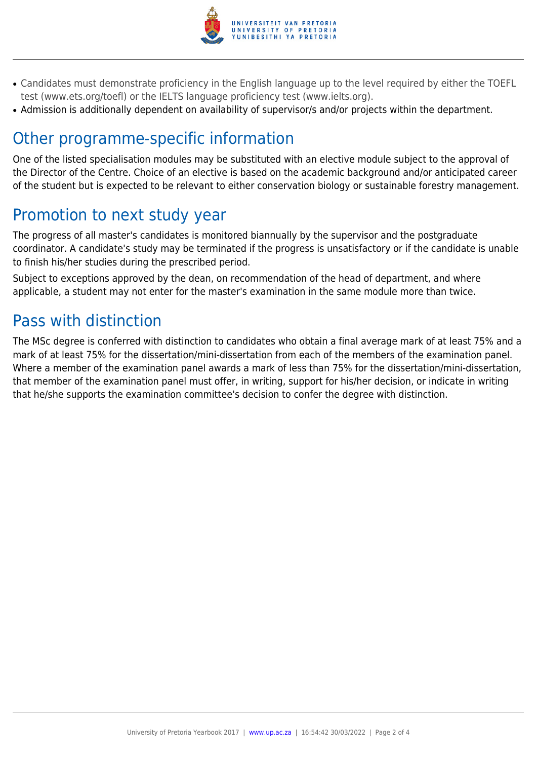

- Candidates must demonstrate proficiency in the English language up to the level required by either the TOEFL test (www.ets.org/toefl) or the IELTS language proficiency test (www.ielts.org).
- Admission is additionally dependent on availability of supervisor/s and/or projects within the department.

# Other programme-specific information

One of the listed specialisation modules may be substituted with an elective module subject to the approval of the Director of the Centre. Choice of an elective is based on the academic background and/or anticipated career of the student but is expected to be relevant to either conservation biology or sustainable forestry management.

### Promotion to next study year

The progress of all master's candidates is monitored biannually by the supervisor and the postgraduate coordinator. A candidate's study may be terminated if the progress is unsatisfactory or if the candidate is unable to finish his/her studies during the prescribed period.

Subject to exceptions approved by the dean, on recommendation of the head of department, and where applicable, a student may not enter for the master's examination in the same module more than twice.

# Pass with distinction

The MSc degree is conferred with distinction to candidates who obtain a final average mark of at least 75% and a mark of at least 75% for the dissertation/mini-dissertation from each of the members of the examination panel. Where a member of the examination panel awards a mark of less than 75% for the dissertation/mini-dissertation, that member of the examination panel must offer, in writing, support for his/her decision, or indicate in writing that he/she supports the examination committee's decision to confer the degree with distinction.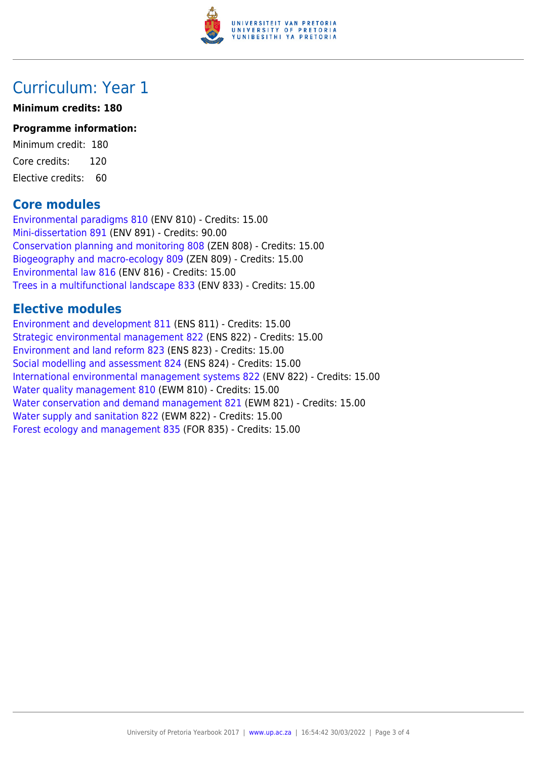

### Curriculum: Year 1

#### **Minimum credits: 180**

#### **Programme information:**

Minimum credit: 180 Core credits: 120 Elective credits: 60

### **Core modules**

[Environmental paradigms 810](https://www.up.ac.za/yearbooks/2017/modules/view/ENV 810) (ENV 810) - Credits: 15.00 [Mini-dissertation 891](https://www.up.ac.za/yearbooks/2017/modules/view/ENV 891) (ENV 891) - Credits: 90.00 [Conservation planning and monitoring 808](https://www.up.ac.za/yearbooks/2017/modules/view/ZEN 808) (ZEN 808) - Credits: 15.00 [Biogeography and macro-ecology 809](https://www.up.ac.za/yearbooks/2017/modules/view/ZEN 809) (ZEN 809) - Credits: 15.00 [Environmental law 816](https://www.up.ac.za/yearbooks/2017/modules/view/ENV 816) (ENV 816) - Credits: 15.00 [Trees in a multifunctional landscape 833](https://www.up.ac.za/yearbooks/2017/modules/view/ENV 833) (ENV 833) - Credits: 15.00

### **Elective modules**

[Environment and development 811](https://www.up.ac.za/yearbooks/2017/modules/view/ENS 811) (ENS 811) - Credits: 15.00 [Strategic environmental management 822](https://www.up.ac.za/yearbooks/2017/modules/view/ENS 822) (ENS 822) - Credits: 15.00 [Environment and land reform 823](https://www.up.ac.za/yearbooks/2017/modules/view/ENS 823) (ENS 823) - Credits: 15.00 [Social modelling and assessment 824](https://www.up.ac.za/yearbooks/2017/modules/view/ENS 824) (ENS 824) - Credits: 15.00 [International environmental management systems 822](https://www.up.ac.za/yearbooks/2017/modules/view/ENV 822) (ENV 822) - Credits: 15.00 [Water quality management 810](https://www.up.ac.za/yearbooks/2017/modules/view/EWM 810) (EWM 810) - Credits: 15.00 [Water conservation and demand management 821](https://www.up.ac.za/yearbooks/2017/modules/view/EWM 821) (EWM 821) - Credits: 15.00 [Water supply and sanitation 822](https://www.up.ac.za/yearbooks/2017/modules/view/EWM 822) (EWM 822) - Credits: 15.00 [Forest ecology and management 835](https://www.up.ac.za/yearbooks/2017/modules/view/FOR 835) (FOR 835) - Credits: 15.00